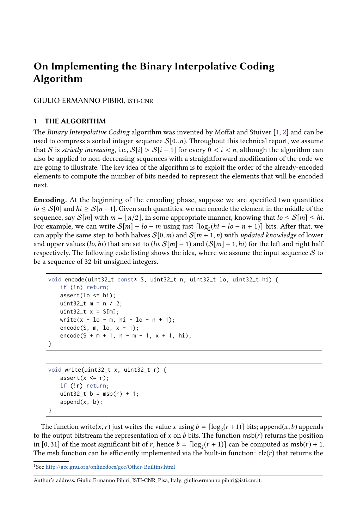# On Implementing the Binary Interpolative Coding Algorithm

GIULIO ERMANNO PIBIRI, ISTI-CNR

## 1 THE ALGORITHM

The Binary Interpolative Coding algorithm was invented by Moffat and Stuiver [\[1,](#page-7-0) [2\]](#page-7-1) and can be used to compress a sorted integer sequence  $S[0..n)$ . Throughout this technical report, we assume that S is strictly increasing, i.e.,  $S[i] > S[i-1]$  for every  $0 < i < n$ , although the algorithm can also be applied to non-decreasing sequences with a straightforward modification of the code we are going to illustrate. The key idea of the algorithm is to exploit the order of the already-encoded elements to compute the number of bits needed to represent the elements that will be encoded next.

Encoding. At the beginning of the encoding phase, suppose we are specified two quantities  $l_0 \leq S[0]$  and  $hi \geq S[n-1]$ . Given such quantities, we can encode the element in the middle of the sequence, say  $S[m]$  with  $m = \lfloor n/2 \rfloor$ , in some appropriate manner, knowing that  $l_0 \le S[m] \le hi$ . For example, we can write  $S[m] - lo - m$  using just  $\lceil \log_2(hi - lo - n + 1) \rceil$  bits. After that, we can apply the same step to both halves  $S[0, m)$  and  $S[m + 1, n)$  with updated knowledge of lower and upper values (lo, hi) that are set to  $(lo, S[m] - 1)$  and  $(S[m] + 1, hi)$  for the left and right half respectively. The following code listing shows the idea, where we assume the input sequence  $S$  to be a sequence of 32-bit unsigned integers.

```
void encode(uint32_t const* S, uint32_t n, uint32_t lo, uint32_t hi) {
   if (!n) return;
   assert(lo \le = hi);uint32_t m = n / 2;
   uint32_t x = S[m];
   write(x - lo - m, hi - lo - n + 1);
   encode(S, m, lo, x - 1);encode(S + m + 1, n - m - 1, x + 1, hi);}
```

```
void write(uint32_t x, uint32_t r) {
   assert(x \le r);if (!r) return;
   uint32_t b = msb(r) + 1;append(x, b);}
```
The function write(x, r) just writes the value x using  $b = \lceil \log_2(r+1) \rceil$  bits; append(x, b) appends<br>the output bitstream the representation of x on b bits. The function msh(x) returns the position to the output bitstream the representation of x on b bits. The function  $msb(r)$  returns the position in [0, 31] of the most significant bit of r, hence  $b = \lceil \log_2(r + 1) \rceil$  can be computed as msb(r) + 1.<br>The msh function can be efficiently implemented via the built-in function<sup>1</sup> clz(r) that returns the The msb function can be efficiently implemented via the built-in function ${}^{1}$  ${}^{1}$  ${}^{1}$  clz(*r*) that returns the

```
^1\mathsf{See}http://gcc.gnu.org/onlinedocs/gcc/Other-Builtins.html
```
Author's address: Giulio Ermanno Pibiri, ISTI-CNR, Pisa, Italy, giulio.ermanno.pibiri@isti.cnr.it.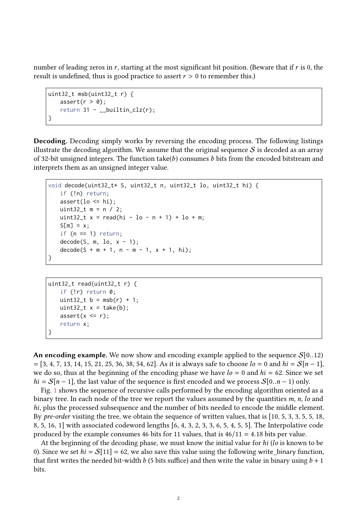number of leading zeros in r, starting at the most significant bit position. (Beware that if r is 0, the result is undefined, thus is good practice to assert  $r > 0$  to remember this.)

```
uint32_t msb(uint32_t r) {
      assert(r > 0);return 31 - \underline{\phantom{x}}\underline{\phantom{x}}builtin_clz(r);
}
```
Decoding. Decoding simply works by reversing the encoding process. The following listings illustrate the decoding algorithm. We assume that the original sequence  $S$  is decoded as an array of 32-bit unsigned integers. The function take(b) consumes b bits from the encoded bitstream and interprets them as an unsigned integer value.

```
void decode(uint32_t* S, uint32_t n, uint32_t lo, uint32_t hi) {
   if (!n) return;
   assert(lo \le hi);uint 32_t m = n / 2;
   uint32_t x = read(hi - lo - n + 1) + lo + m;S[m] = x;if (n == 1) return;
   decode(S, m, lo, x - 1);decode(S + m + 1, n - m - 1, x + 1, hi);}
```

```
uint32_t read(uint32_t r) {
   if (!r) return 0;
   uint32_t b = msb(r) + 1;uint32_t x = take(b);
   assert(x \le r);return x;
}
```
An encoding example. We now show and encoding example applied to the sequence  $S[0..12)$  $= [3, 4, 7, 13, 14, 15, 21, 25, 36, 38, 54, 62]$ . As it is always safe to choose  $l_0 = 0$  and  $h_i = S[n-1]$ , we do so, thus at the beginning of the encoding phase we have  $l_0 = 0$  and  $hi = 62$ . Since we set  $hi = S[n-1]$ , the last value of the sequence is first encoded and we process  $S[0..n-1)$  only.

Fig. [1](#page-2-0) shows the sequence of recursive calls performed by the encoding algorithm oriented as a binary tree. In each node of the tree we report the values assumed by the quantities  $m$ ,  $n$ ,  $\ell$  and hi, plus the processed subsequence and the number of bits needed to encode the middle element. By pre-order visiting the tree, we obtain the sequence of written values, that is [10, 5, 3, 3, 5, 5, 18, 8, 5, 16, 1] with associated codeword lengths [6, 4, 3, 2, 3, 3, 6, 5, 4, 5, 5]. The Interpolative code produced by the example consumes 46 bits for 11 values, that is  $46/11 = 4.18$  bits per value.

At the beginning of the decoding phase, we must know the initial value for hi (lo is known to be 0). Since we set  $hi = \mathcal{S}[11] = 62$ , we also save this value using the following write binary function, that first writes the needed bit-width b (5 bits suffice) and then write the value in binary using  $b + 1$ bits.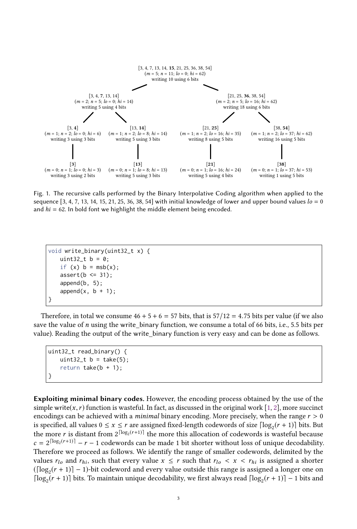<span id="page-2-0"></span>

Fig. 1. The recursive calls performed by the Binary Interpolative Coding algorithm when applied to the sequence  $\lceil 3, 4, 7, 13, 14, 15, 21, 25, 36, 38, 54 \rceil$  with initial knowledge of lower and upper bound values  $l_0 = 0$ and  $hi = 62$ . In bold font we highlight the middle element being encoded.

```
void write_binary(uint32_t x) {
   uint32_t b = 0;
   if (x) b = msb(x);
   assert(b \leq 31):
   append(b, 5);
   append(x, b + 1);}
```
Therefore, in total we consume  $46 + 5 + 6 = 57$  bits, that is  $57/12 = 4.75$  bits per value (if we also save the value of  $n$  using the write\_binary function, we consume a total of 66 bits, i.e., 5.5 bits per value). Reading the output of the write\_binary function is very easy and can be done as follows.

```
uint32_t read_binary() {
   uint32_t b = take(5);
   return take(b + 1);
}
```
Exploiting minimal binary codes. However, the encoding process obtained by the use of the simple write(x, r) function is wasteful. In fact, as discussed in the original work [\[1,](#page-7-0) [2\]](#page-7-1), more succinct encodings can be achieved with a *minimal* binary encoding. More precisely, when the range  $r > 0$ is specified, all values  $0 \le x \le r$  are assigned fixed-length codewords of size  $\lceil \log_2(r + 1) \rceil$  bits. But the more  $r$  is distant from  $2^{\lceil \log_2(r+1) \rceil}$  the more this allocation of codewords is wasteful because  $c = 2^{\lceil \log_2(r+1) \rceil} - r - 1$  codewords can be made 1 bit shorter without loss of unique decodability. Therefore we proceed as follows. We identify the range of smaller codewords, delimited by the values  $r_{lo}$  and  $r_{hi}$ , such that every value  $x \le r$  such that  $r_{lo} < x < r_{hi}$  is assigned a shorter  $([log<sub>2</sub>(r + 1)] - 1)$ -bit codeword and every value outside this range is assigned a longer one on [ $log_2(r + 1)$ ] bits. To maintain unique decodability, we first always read  $[log_2(r + 1)]$  − 1 bits and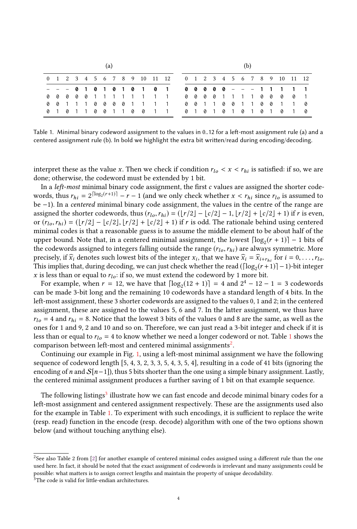<span id="page-3-0"></span>

|  |  |  |  |  |  |  |  | 0 1 2 3 4 5 6 7 8 9 10 11 12 |                             |  |  |  |  |  | 0 1 2 3 4 5 6 7 8 9 10 11 12 |  |
|--|--|--|--|--|--|--|--|------------------------------|-----------------------------|--|--|--|--|--|------------------------------|--|
|  |  |  |  |  |  |  |  |                              |                             |  |  |  |  |  |                              |  |
|  |  |  |  |  |  |  |  |                              | 0 0 0 0 0 1 1 1 1 1 1 1 1   |  |  |  |  |  | 0000111100001                |  |
|  |  |  |  |  |  |  |  |                              | 0011100001111 0011001100110 |  |  |  |  |  |                              |  |
|  |  |  |  |  |  |  |  |                              | 0101100110011 0101010101010 |  |  |  |  |  |                              |  |

Table 1. Minimal binary codeword assignment to the values in 0..12 for a left-most assignment rule (a) and a centered assignment rule (b). In bold we highlight the extra bit written/read during encoding/decoding.

interpret these as the value x. Then we check if condition  $r_{lo} < x < r_{hi}$  is satisfied: if so, we are done; otherwise, the codeword must be extended by 1 bit.

In a *left-most* minimal binary code assignment, the first  $c$  values are assigned the shorter codewords, thus  $r_{hi} = 2^{\lceil \log_2(r+1) \rceil} - r - 1$  (and we only check whether  $x < r_{hi}$  since  $r_{lo}$  is assumed to be -1). In a centre of minimal binary code assignment, the values in the centre of the range are be −1). In a centered minimal binary code assignment, the values in the centre of the range are assigned the shorter codewords, thus  $(r_l_0, r_{hi}) = (\lfloor r/2 \rfloor - \lfloor c/2 \rfloor - 1, \lfloor r/2 \rfloor + \lfloor c/2 \rfloor + 1)$  if r is even, or  $(r_{lo},r_{hi}) = (\lfloor r/2 \rfloor - \lfloor c/2 \rfloor, \lfloor r/2 \rfloor + \lfloor c/2 \rfloor + 1)$  if r is odd. The rationale behind using centered minimal codes is that a reasonable guess is to assume the middle element to be about half of the upper bound. Note that, in a centered minimal assignment, the lowest  $\lceil \log_2(r+1) \rceil - 1$  bits of the codewords assigned to integers falling outside the range  $(r_{l_o}, r_{hi})$  are always symmetric. More precisely, if  $\widehat{x}_i$  denotes such lowest bits of the integer  $x_i$ , that we have  $\widehat{x}_i = \widehat{x}_{i+r_{hi}}$  for  $i = 0, \ldots, r_{lo}$ .<br>This implies that during decoding, we can just check whether the read ([log (r+1)] – 1) bit intege This implies that, during decoding, we can just check whether the read ( $\lceil \log_2(r+1) \rceil - 1$ )-bit integer x is less than or equal to  $r_{lo}$ : if so, we must extend the codeword by 1 more bit.

For example, when  $r = 12$ , we have that  $\lceil \log_2(12 + 1) \rceil = 4$  and  $2^4 - 12 - 1 = 3$  codewords can be made 3-bit long and the remaining 10 codewords have a standard length of 4 bits. In the left-most assignment, these 3 shorter codewords are assigned to the values 0, 1 and 2; in the centered assignment, these are assigned to the values 5, 6 and 7. In the latter assignment, we thus have  $r_{lo} = 4$  and  $r_{hi} = 8$ . Notice that the lowest 3 bits of the values 0 and 8 are the same, as well as the ones for 1 and 9, 2 and 10 and so on. Therefore, we can just read a 3-bit integer and check if it is less than or equal to  $r_{lo} = 4$  to know whether we need a longer codeword or not. Table [1](#page-3-0) shows the comparison between left-most and centered minimal assignments $^2$  $^2$ .

Continuing our example in Fig. [1,](#page-2-0) using a left-most minimal assignment we have the following sequence of codeword length [5, 4, 3, 2, 3, 3, 5, 4, 3, 5, 4], resulting in a code of 41 bits (ignoring the encoding of n and  $S[n-1]$ ), thus 5 bits shorter than the one using a simple binary assignment. Lastly, the centered minimal assignment produces a further saving of 1 bit on that example sequence.

The following listings<sup>[3](#page-3-2)</sup> illustrate how we can fast encode and decode minimal binary codes for a left-most assignment and centered assignment respectively. These are the assignments used also for the example in Table [1.](#page-3-0) To experiment with such encodings, it is sufficient to replace the write (resp. read) function in the encode (resp. decode) algorithm with one of the two options shown below (and without touching anything else).

<span id="page-3-1"></span><sup>&</sup>lt;sup>2</sup>See also Table 2 from [\[2\]](#page-7-1) for another example of centered minimal codes assigned using a different rule than the one used here. In fact, it should be noted that the exact assignment of codewords is irrelevant and many assignments could be possible: what matters is to assign correct lengths and maintain the property of unique decodability.

<span id="page-3-2"></span><sup>&</sup>lt;sup>3</sup>The code is valid for little-endian architectures.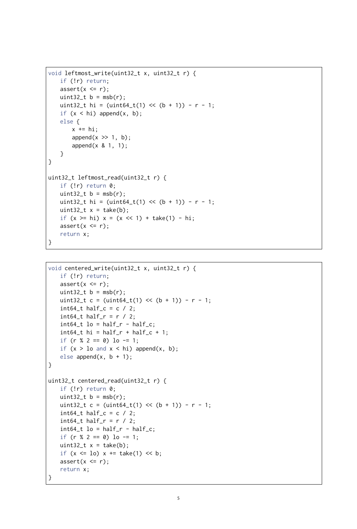```
void leftmost_write(uint32_t x, uint32_t r) {
   if (!r) return;
   assert(x \le r);uint32_t b = msb(r);
   uint32_t hi = (uint64_t(1) \ll (b + 1)) - r - 1;
   if (x < hi) append(x, b);
   else {
       x \neq hi;
       append(x \geq 1, b);
       append(x & 1, 1);
   }
}
uint32_t leftmost_read(uint32_t r) {
   if (!r) return 0;
   uint32_t b = msb(r);
   uint32_t hi = (uint64_t(1) << (b + 1)) - r - 1;
   uint32_t x = take(b);
   if (x \ge h_i) x = (x \le 1) + take(1) - hi;assert(x \le r);return x;
}
```

```
void centered_write(uint32_t x, uint32_t r) {
   if (!r) return;
   assert(x \le r);uint32_t b = msb(r);
   uint32_t c = (uint64_t(1) << (b + 1)) - r - 1;
   int64_t half_c = c / 2;
   int64_t half_r = r / 2;int64_t lo = half_r - half_c;
   int64_t hi = half_r + half_c + 1;
   if (r % 2 == 0) lo -= 1;
   if (x > 10 and x < hi) append(x, b);
   else append(x, b + 1);
}
uint32_t centered_read(uint32_t r) {
   if (!r) return 0;
   uint32_t b = msb(r);
   uint32_t c = (uint64_t(1) << (b + 1)) - r - 1;
   int64_t half_c = c / 2;int64_t half_r = r / 2;
   int64_t lo = half_r - half_c;
   if (r % 2 == 0) lo -= 1;
   uint32_t x = take(b);
   if (x \leq 10) x \neq 1 take(1) \lt k b;
   assert(x \le r);return x;
}
```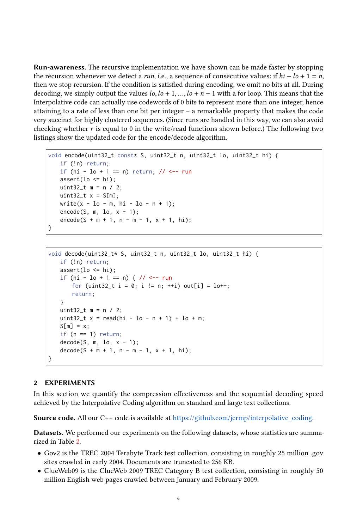Run-awareness. The recursive implementation we have shown can be made faster by stopping the recursion whenever we detect a *run*, i.e., a sequence of consecutive values: if  $hi - lo + 1 = n$ , then we stop recursion. If the condition is satisfied during encoding, we omit no bits at all. During decoding, we simply output the values  $l_0$ ,  $l_0$  + 1, ...,  $l_0$  + n − 1 with a for loop. This means that the Interpolative code can actually use codewords of 0 bits to represent more than one integer, hence attaining to a rate of less than one bit per integer – a remarkable property that makes the code very succinct for highly clustered sequences. (Since runs are handled in this way, we can also avoid checking whether r is equal to 0 in the write/read functions shown before.) The following two listings show the updated code for the encode/decode algorithm.

```
void encode(uint32_t const* S, uint32_t n, uint32_t lo, uint32_t hi) {
   if (!n) return;
   if (hi - \ln 1 = n) return; // <-- run
   assert(lo \le hi);uint32_t m = n / 2;
   uint32_t x = S[m];
   write(x - lo - m, hi - lo - n + 1);
   encode(S, m, lo, x - 1);\text{encode}(S + m + 1, n - m - 1, x + 1, hi);}
```

```
void decode(uint32_t* S, uint32_t n, uint32_t lo, uint32_t hi) {
   if (!n) return;
   assert(lo \le hi);if (hi - lo + 1 == n) { // <-- run
       for (uint32_t i = 0; i != n; ++i) out[i] = 10++;
       return;
   }
   uint32_t m = n / 2;
   uint32_t x = read(hi - lo - n + 1) + lo + m;S[m] = x;if (n == 1) return;
   decode(S, m, lo, x - 1);decode(S + m + 1, n - m - 1, x + 1, hi);
}
```
### 2 EXPERIMENTS

In this section we quantify the compression effectiveness and the sequential decoding speed achieved by the Interpolative Coding algorithm on standard and large text collections.

Source code. All our C++ code is available at [https://github.com/jermp/interpolative\\_coding.](https://github.com/jermp/interpolative_coding)

Datasets. We performed our experiments on the following datasets, whose statistics are summarized in Table [2.](#page-6-0)

- Gov2 is the TREC 2004 Terabyte Track test collection, consisting in roughly 25 million .gov sites crawled in early 2004. Documents are truncated to 256 KB.
- ClueWeb09 is the ClueWeb 2009 TREC Category B test collection, consisting in roughly 50 million English web pages crawled between January and February 2009.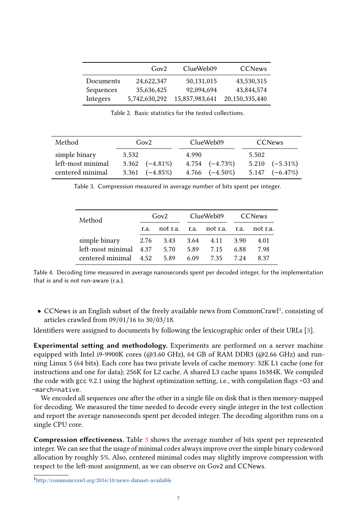<span id="page-6-0"></span>

|           | Gov2          | ClueWeb09      | <b>CCNews</b>     |
|-----------|---------------|----------------|-------------------|
| Documents | 24,622,347    | 50,131,015     | 43,530,315        |
| Sequences | 35,636,425    | 92,094,694     | 43,844,574        |
| Integers  | 5,742,630,292 | 15,857,983,641 | 20, 150, 335, 440 |
|           |               |                |                   |

Table 2. Basic statistics for the tested collections.

<span id="page-6-2"></span>

| Method                                                 | Gov2                                                        | ClueWeb09                                                   | <b>CCNews</b>                                               |  |  |  |
|--------------------------------------------------------|-------------------------------------------------------------|-------------------------------------------------------------|-------------------------------------------------------------|--|--|--|
| simple binary<br>left-most minimal<br>centered minimal | 3.532<br>$3.362 \quad (-4.81\%)$<br>$3.361 \quad (-4.85\%)$ | 4.990<br>$4.754 \quad (-4.73\%)$<br>$4.766 \quad (-4.50\%)$ | 5.502<br>$5.210 \quad (-5.31\%)$<br>$5.147 \quad (-6.47\%)$ |  |  |  |
|                                                        |                                                             |                                                             |                                                             |  |  |  |

| Table 3. Compression measured in average number of bits spent per integer. |  |  |  |  |
|----------------------------------------------------------------------------|--|--|--|--|
|                                                                            |  |  |  |  |

<span id="page-6-3"></span>

| Method                                 |      | Gov2     |      | ClueWeb09          | <b>CCNews</b> |          |  |
|----------------------------------------|------|----------|------|--------------------|---------------|----------|--|
|                                        | r.a. | not r.a. |      | r.a. not r.a. r.a. |               | not r.a. |  |
| simple binary 2.76 3.43 3.64 4.11 3.90 |      |          |      |                    |               | 4.01     |  |
| left-most minimal 4.37                 |      | 5.70     | 5.89 | 7.15               | 6.88          | 7.98     |  |
| centered minimal 4.52                  |      | 5.89     | 6.09 | 7.35               | 7 24          | 837      |  |

Table 4. Decoding time measured in average nanoseconds spent per decoded integer, for the implementation that is and is not run-aware (r.a.).

 $\bullet$  CCNews is an English subset of the freely available news from CommonCrawl<sup>[4](#page-6-1)</sup>, consisting of articles crawled from 09/01/16 to 30/03/18.

Identifiers were assigned to documents by following the lexicographic order of their URLs [\[3\]](#page-7-2).

Experimental setting and methodology. Experiments are performed on a server machine equipped with Intel i9-9900K cores ( $@3.60$  GHz), 64 GB of RAM DDR3 ( $@2.66$  GHz) and running Linux 5 (64 bits). Each core has two private levels of cache memory: 32K L1 cache (one for instructions and one for data); 256K for L2 cache. A shared L3 cache spans 16384K. We compiled the code with gcc 9.2.1 using the highest optimization setting, i.e., with compilation flags -03 and -march=native.

We encoded all sequences one after the other in a single file on disk that is then memory-mapped for decoding. We measured the time needed to decode every single integer in the test collection and report the average nanoseconds spent per decoded integer. The decoding algorithm runs on a single CPU core.

Compression effectiveness. Table [3](#page-6-2) shows the average number of bits spent per represented integer. We can see that the usage of minimal codes always improve over the simple binary codeword allocation by roughly 5%. Also, centered minimal codes may slightly improve compression with respect to the left-most assignment, as we can observe on Gov2 and CCNews.

<span id="page-6-1"></span><sup>4</sup><http://commoncrawl.org/2016/10/news-dataset-available>